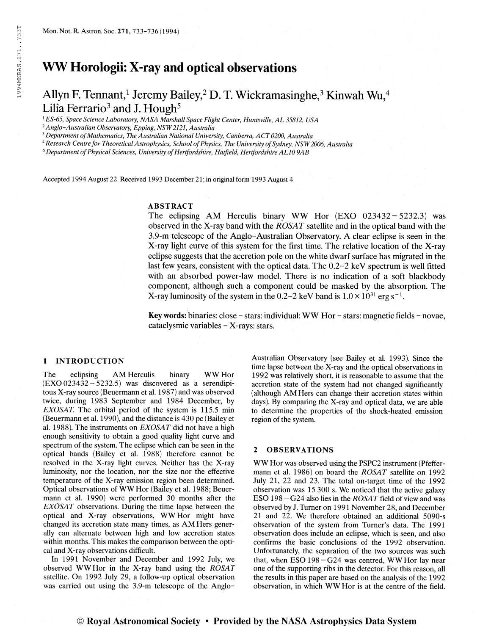# WW Horologii: X-ray and optical observations

## Allyn F. Tennant,<sup>1</sup> Jeremy Bailey,<sup>2</sup> D. T. Wickramasinghe,<sup>3</sup> Kinwah Wu,<sup>4</sup> Lilia Ferrario $^3$  and J. Hough $^5$

<sup>1</sup> ES-65, Space Science Laboratory, NASA Marshall Space Flight Center, Huntsville, AL 35812, USA

 $2$ Anglo-Australian Observatory, Epping, NSW 2121, Australia

<sup>3</sup> Department of Mathematics, The Australian National University, Canberra, ACT 0200, Australia

<sup>4</sup> Research Centre for Theoretical Astrophysics, School of Physics, The University of Sydney, NSW 2006, Australia

 $5$  Department of Physical Sciences, University of Hertfordshire, Hatfield, Hertfordshire AL10 9AB

Accepted 1994 August 22. Received 1993 December 21; in original form 1993 August 4

## ABSTRACT

The eclipsing AM Herculis binary WW Hor (EXO 023432-5232.3) was observed in the X-ray band with the ROSAT satellite and in the optical band with the 3.9-m telescope of the Anglo-Australian Observatory. A clear eclipse is seen in the X-ray light curve of this system for the first time. The relative location of the X-ray eclipse suggests that the accretion pole on the white dwarf surface has migrated in the last few years, consistent with the optical data. The 0.2-2 keV spectrum is well fitted with an absorbed power-law model. There is no indication of a soft blackbody component, although such a component could be masked by the absorption. The X-ray luminosity of the system in the 0.2-2 keV band is  $1.0 \times 10^{31}$  erg s<sup>-1</sup>.

Key words: binaries: close - stars: individual: WW Hor - stars: magnetic fields - novae, cataclysmic variables - X-rays: stars.

#### <sup>1</sup> INTRODUCTION

The eclipsing AM Herculis binary WW Hor  $(EXO 023432 - 5232.5)$  was discovered as a serendipitous X-ray source (Beuermann et al. 1987) and was observed twice, during 1983 September and 1984 December, by EXOSAT. The orbital period of the system is 115.5 min (Beuermann et al. 1990), and the distance is 430 pc (Bailey et al. 1988). The instruments on  $EXOSAT$  did not have a high enough sensitivity to obtain a good quality light curve and spectrum of the system. The eclipse which can be seen in the optical bands (Bailey et al. 1988) therefore cannot be resolved in the X-ray light curves. Neither has the X-ray luminosity, nor the location, nor the size nor the effective temperature of the X-ray emission region been determined. Optical observations of WW Hor (Bailey et al. 1988; Beuermann et al. 1990) were performed 30 months after the EXOSAT observations. During the time lapse between the optical and X-ray observations, WW Hor might have changed its accretion state many times, as AM Hers generally can alternate between high and low accretion states within months. This makes the comparison between the optical and X-ray observations difficult.

In 1991 November and December and 1992 July, we observed WWHor in the X-ray band using the ROSAT satellite. On 1992 July 29, a follow-up optical observation was carried out using the 3.9-m telescope of the AngloAustralian Observatory (see Bailey et al. 1993). Since the time lapse between the X-ray and the optical observations in 1992 was relatively short, it is reasonable to assume that the accretion state of the system had not changed significantly (although AM Hers can change their accretion states within days). By comparing the X-ray and optical data, we are able to determine the properties of the shock-heated emission region of the system.

## 2 OBSERVATIONS

WW Hor was observed using the PSPC2 instrument (Pfeffermann et al. 1986) on board the *ROSAT* satellite on 1992 July 21, 22 and 23. The total on-target time of the 1992 observation was 15 300 s. We noticed that the active galaxy ESO  $198 - G24$  also lies in the *ROSAT* field of view and was observed by J. Turner on 1991 November 28, and December 21 and 22. We therefore obtained an additional 5090-s observation of the system from Turner's data. The 1991 observation does include an eclipse, which is seen, and also confirms the basic conclusions of the 1992 observation. Unfortunately, the separation of the two sources was such that, when ESO 198-G24 was centred, WW Hor lay near one of the supporting ribs in the detector. For this reason, all the results in this paper are based on the analysis of the 1992 observation, in which WW Hor is at the centre of the field.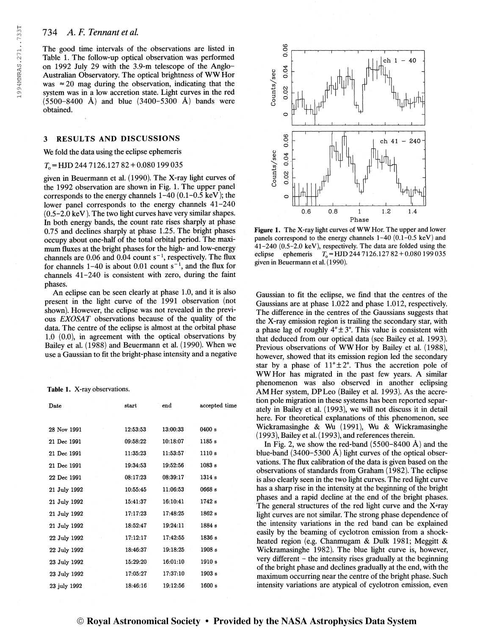# 734 A.F. Tennant et al.

The good time intervals of the observations are listed in Table 1. The follow-up optical observation was performed on 1992 July 29 with the 3.9-m telescope of the Anglo-Australian Observatory. The optical brightness of WWHor was  $\approx$  20 mag during the observation, indicating that the system was in a low accretion state. Light curves in the red  $(5500 - 8400 \text{ Å})$  and blue  $(3400 - 5300 \text{ Å})$  bands were obtained.

#### 3 RESULTS AND DISCUSSIONS

We fold the data using the eclipse ephemeris

#### $T<sub>0</sub>$  = HJD 244 7126.127 82 + 0.080 199 035

given in Beuermann et al. (1990). The X-ray light curves of the 1992 observation are shown in Fig. 1. The upper panel corresponds to the energy channels  $1-40$  (0.1-0.5 keV); the lower panel corresponds to the energy channels 41-240 (0.5-2.0 keV ). The two light curves have very similar shapes. In both energy bands, the count rate rises sharply at phase 0.75 and declines sharply at phase 1.25. The bright phases occupy about one-half of the total orbital period. The maximum fluxes at the bright phases for the high- and low-energy mum fluxes at the bright phases for the high- and low-energy<br>channels are 0.06 and 0.04 count s<sup>-1</sup>, respectively. The flux for channels  $1-40$  is about 0.01 count  $s^{-1}$ , and the flux for channels 41-240 is consistent with zero, during the faint phases.

An eclipse can be seen clearly at phase 1.0, and it is also present in the light curve of the 1991 observation (not shown). However, the eclipse was not revealed in the previous EXOSAT observations because of the quality of the data. The centre of the eclipse is almost at the orbital phase 1.0 (0.0), in agreement with the optical observations by Bailey et al. (1988) and Beuermann et al. (1990). When we use a Gaussian to fit the bright-phase intensity and a negative

#### Table 1. X-ray observations.

| Date         | start    | $_{\rm end}$ | accepted time |
|--------------|----------|--------------|---------------|
| 28 Nov 1991  | 12:53:53 | 13:00:33     | 0400s         |
| 21 Dec 1991  | 09:58:22 | 10:18:07     | 1185 s        |
| 21 Dec 1991  | 11:35:23 | 11:53:57     | 1110s         |
| 21 Dec 1991  | 19:34:53 | 19:52:56     | 1083 s        |
| 22 Dec 1991  | 08:17:23 | 08:39:17     | 1314 s        |
| 21 July 1992 | 10:55:45 | 11:06:53     | 0668 s        |
| 21 July 1992 | 15:41:37 | 16:10:41     | 1742s         |
| 21 July 1992 | 17:17:23 | 17:48:25     | 1862 s        |
| 21 July 1992 | 18:52:47 | 19:24:11     | 1884 s        |
| 22 July 1992 | 17:12:17 | 17:42:55     | 1836 s        |
| 22 July 1992 | 18:46:37 | 19:18:25     | 1908s         |
| 23 July 1992 | 15:29:20 | 16:01:10     | 1910 s        |
| 23 July 1992 | 17:05:27 | 17:37:10     | 1903 s        |
| 23 july 1992 | 18:46:16 | 19:12:56     | 1600 s        |



Figure 1. The X-ray light curves of WW Hor. The upper and lower panels correspond to the energy channels 1-40 (0.1-0.5 keV) and 41-240 (0.5-2.0 keV), respectively. The data are folded using the eclipse ephemeris  $T_0 = HJD 244 7126.127 82 + 0.080 199 035$ given in Beuermann et al. ( 1990).

Gaussian to fit the eclipse, we find that the centres of the Gaussians are at phase 1.022 and phase 1.012, respectively. The difference in the centres of the Gaussians suggests that the X-ray emission region is trailing the secondary star, with a phase lag of roughly  $4^{\circ} \pm 3^{\circ}$ . This value is consistent with that deduced from our optical data (see Bailey et al. 1993). Previous observations of WWHor by Bailey et al. (1988), however, showed that its emission region led the secondary star by a phase of  $11^{\circ} \pm 2^{\circ}$ . Thus the accretion pole of WWHor has migrated in the past few years. A similar phenomenon was also observed in another eclipsing AM Her system, DPLeo (Bailey et al. 1993). As the accretion pole migration in these systems has been reported separately in Bailey et al. (1993), we will not discuss it in detail here. For theoretical explanations of this phenomenon, see Wickramasinghe & Wu (1991), Wu & Wickramasinghe (1993), Bailey et al. (1993), and references therein.

In Fig. 2, we show the red-band  $(5500-8400 \text{ Å})$  and the blue-band  $(3400-5300 \text{ Å})$  light curves of the optical observations. The flux calibration of the data is given based on the observations of standards from Graham (1982). The eclipse is also clearly seen in the two light curves. The red light curve has a sharp rise in the intensity at the beginning of the bright phases and a rapid decline at the end of the bright phases. The general structures of the red light curve and the X-ray light curves are not similar. The strong phase dependence of the intensity variations in the red band can be explained easily by the beaming of cyclotron emission from a shockheated region (e.g. Chanmugam & Dulk 1981; Meggitt & Wickramasinghe 1982). The blue light curve is, however, very different - the intensity rises gradually at the beginning of the bright phase and declines gradually at the end, with the maximum occurring near the centre of the bright phase. Such intensity variations are atypical of cyclotron emission, even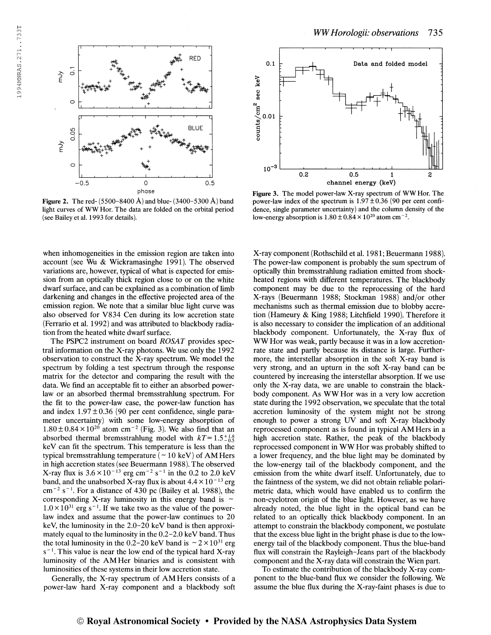

**Figure 2.** The red-  $(5500-8400 \text{ Å})$  and blue-  $(3400-5300 \text{ Å})$  band light curves of WW Hor. The data are folded on the orbital period (see Bailey et al. 1993 for details).

when inhomogeneities in the emission region are taken into account (see Wu & Wickramasinghe 1991). The observed variations are, however, typical of what is expected for emission from an optically thick region close to or on the white dwarf surface, and can be explained as a combination of limb darkening and changes in the effective projected area of the emission region. We note that a similar blue light curve was also observed for V834 Cen during its low accretion state (Ferrario et al. 1992) and was attributed to blackbody radiation from the heated white dwarf surface.

The PSPC2 instrument on board ROSAT provides spectral information on the X-ray photons. We use only the 1992 observation to construct the X-ray spectrum. We model the spectrum by folding a test spectrum through the response matrix for the detector and comparing the result with the data. We find an acceptable fit to either an absorbed powerlaw or an absorbed thermal bremsstrahlung spectrum. For the fit to the power-law case, the power-law function has and index  $1.97 \pm 0.36$  (90 per cent confidence, single parameter uncertainty) with some low-energy absorption of meter uncertainty) with some low-energy absorption of  $1.80 \pm 0.84 \times 10^{20}$  atom cm<sup>-2</sup> (Fig. 3). We also find that an absorbed thermal bremsstrahlung model with  $kT=1.5^{+1.8}_{-0.5}$ keV can fit the spectrum. This temperature is less than the typical bremsstrahlung temperature ( $\sim$  10 keV) of AM Hers in high accretion states (see Beuermann 1988). The observed In high accretion states (see Beuermann 1988). I he observed<br>X-ray flux is  $3.6 \times 10^{-13}$  erg cm<sup>-2</sup> s<sup>-1</sup> in the 0.2 to 2.0 keV band, and the unabsorbed X-ray flux is about  $4.4 \times 10^{-13}$  erg band, and the unabsorbed  $\lambda$ -ray flux is about 4.4  $\times$  10<sup>-10</sup> erg cm<sup>-2</sup> s<sup>-1</sup>. For a distance of 430 pc (Bailey et al. 1988), the corresponding X-ray luminosity in this energy band is  $\sim$  $1.0 \times 10^{31}$  erg s<sup>-1</sup>. If we take two as the value of the powerlaw index and assume that the power-law continues to 20 keV, the luminosity in the 2.0-20 keV band is then approximately equal to the luminosity in the 0.2-2.0 keV band. Thus the total luminosity in the 0.2-20 keV band is  $\sim 2 \times 10^{31}$  erg  $s^{-1}$ . This value is near the low end of the typical hard X-ray luminosity of the AM Her binaries and is consistent with luminosities of these systems in their low accretion state.

Generally, the X-ray spectrum of AM Hers consists of a power-law hard X-ray component and a blackbody soft



Figure 3. The model power-law X-ray spectrum of WW Hor. The power-law index of the spectrum is  $1.97 \pm 0.36$  (90 per cent confidence, single parameter uncertainty) and the column density of the dence, single parameter uncertainty) and the column d<br>low-energy absorption is  $1.80 \pm 0.84 \times 10^{20}$  atom cm<sup>-2</sup>.

X-ray component (Rothschild et al. 1981; Beuermann 1988). The power-law component is probably the sum spectrum of optically thin bremsstrahlung radiation emitted from shockheated regions with different temperatures. The blackbody component may be due to the reprocessing of the hard X-rays (Beuermann 1988; Stockman 1988) and/or other mechanisms such as thermal emission due to blobby accretion (Hameury & King 1988; Litchfield 1990). Therefore it is also necessary to consider the implication of an additional blackbody component. Unfortunately, the X-ray flux of WW Hor was weak, partly because it was in a low accretionrate state and partly because its distance is large. Furthermore, the interstellar absorption in the soft X-ray band is very strong, and an upturn in the soft X-ray band can be countered by increasing the interstellar absorption. If we use only the X-ray data, we are unable to constrain the blackbody component. As WW Hor was in a very low accretion state during the 1992 observation, we speculate that the total accretion luminosity of the system might not be strong enough to power a strong UV and soft X-ray blackbody reprocessed component as is found in typical AM Hers in a high accretion state. Rather, the peak of the blackbody reprocessed component in WW Hor was probably shifted to a lower frequency, and the blue light may be dominated by the low-energy tail of the blackbody component, and the emission from the white dwarf itself. Unfortunately, due to the faintness of the system, we did not obtain reliable polarimetric data, which would have enabled us to confirm the non-cyclotron origin of the blue light. However, as we have already noted, the blue light in the optical band can be related to an optically thick blackbody component. In an attempt to constrain the blackbody component, we postulate that the excess blue light in the bright phase is due to the lowenergy tail of the blackbody component. Thus the blue-band flux will constrain the Rayleigh-Jeans part of the blackbody component and the X-ray data will constrain the Wien part.

To estimate the contribution of the blackbody X-ray component to the blue-band flux we consider the following. We assume the blue flux during the X-ray-faint phases is due to